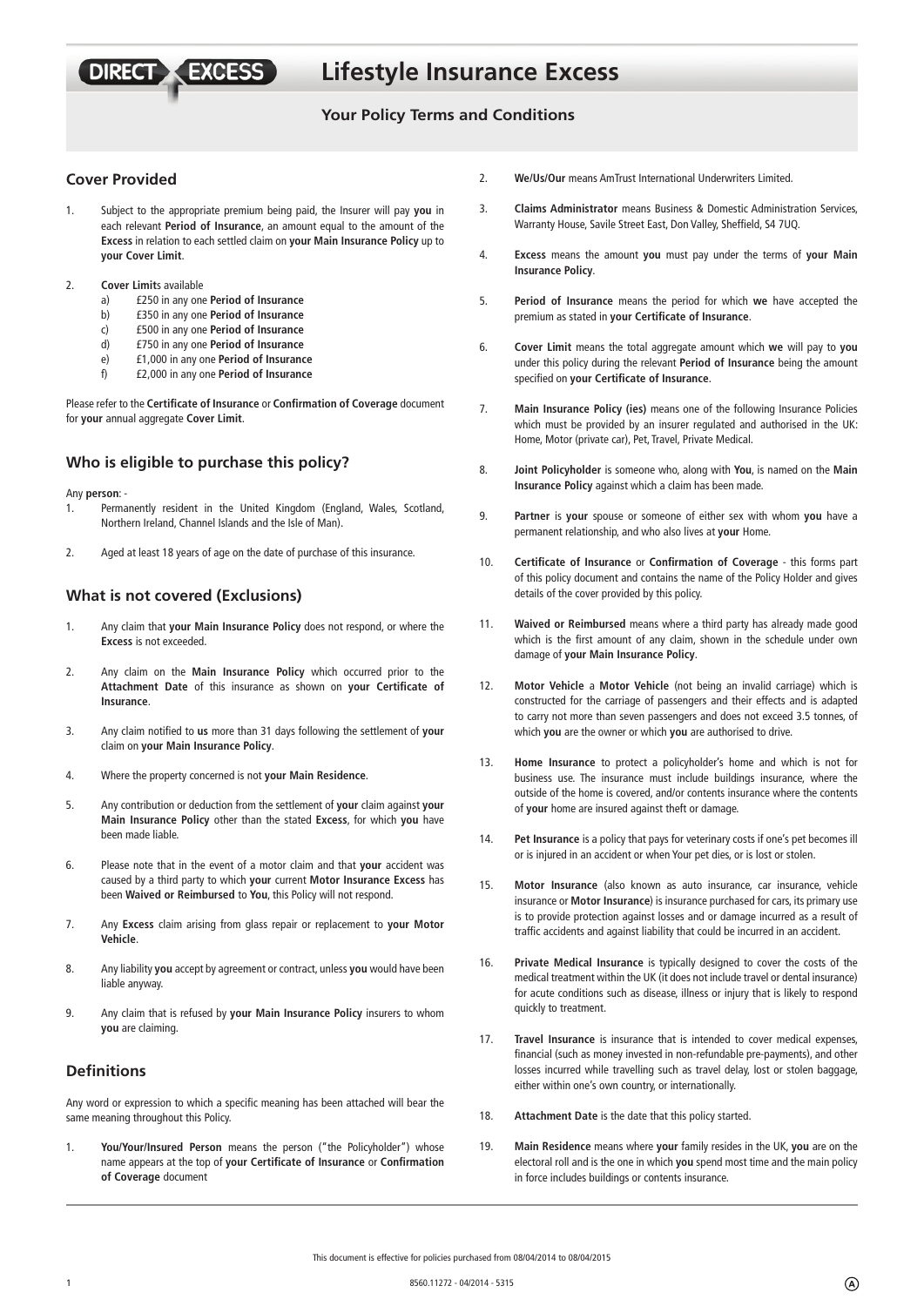**Lifestyle Insurance Excess**

# **Your Policy Terms and Conditions**

# **Cover Provided**

**DIRECT** 

- 1. Subject to the appropriate premium being paid, the Insurer will pay **you** in each relevant **Period of Insurance**, an amount equal to the amount of the **Excess** in relation to each settled claim on **your Main Insurance Policy** up to **your Cover Limit**.
- 2. **Cover Limit**s available
	- a) £250 in any one **Period of Insurance**

**XEXCESS** 

- b) £350 in any one **Period of Insurance**
- c) £500 in any one **Period of Insurance**
- d) £750 in any one **Period of Insurance**
- e) £1,000 in any one **Period of Insurance**
- f) £2,000 in any one **Period of Insurance**

Please refer to the **Certificate of Insurance** or **Confirmation of Coverage** document for **your** annual aggregate **Cover Limit**.

# **Who is eligible to purchase this policy?**

Any **person**: -

- 1. Permanently resident in the United Kingdom (England, Wales, Scotland, Northern Ireland, Channel Islands and the Isle of Man).
- 2. Aged at least 18 years of age on the date of purchase of this insurance.

### **What is not covered (Exclusions)**

- 1. Any claim that **your Main Insurance Policy** does not respond, or where the **Excess** is not exceeded.
- 2. Any claim on the **Main Insurance Policy** which occurred prior to the Attachment Date of this insurance as shown on your Certificate of **Insurance**.
- 3. Any claim notified to us more than 31 days following the settlement of your claim on **your Main Insurance Policy**.
- 4. Where the property concerned is not **your Main Residence**.
- 5. Any contribution or deduction from the settlement of **your** claim against **your Main Insurance Policy** other than the stated **Excess**, for which **you** have been made liable.
- 6. Please note that in the event of a motor claim and that **your** accident was caused by a third party to which **your** current **Motor Insurance Excess** has been **Waived or Reimbursed** to **You**, this Policy will not respond.
- 7. Any **Excess** claim arising from glass repair or replacement to **your Motor Vehicle**.
- 8. Any liability **you** accept by agreement or contract, unless **you** would have been liable anyway.
- 9. Any claim that is refused by **your Main Insurance Policy** insurers to whom **you** are claiming.

## **Definitions**

Any word or expression to which a specific meaning has been attached will bear the same meaning throughout this Policy.

1. **You/Your/Insured Person** means the person ("the Policyholder") whose name appears at the top of your Certificate of Insurance or Confirmation **of Coverage** document

- 2. **We/Us/Our** means AmTrust International Underwriters Limited.
- 3. **Claims Administrator** means Business & Domestic Administration Services, Warranty House, Savile Street East, Don Valley, Sheffield, S4 7UQ.
- 4. **Excess** means the amount **you** must pay under the terms of **your Main Insurance Policy**.
- 5. **Period of Insurance** means the period for which **we** have accepted the premium as stated in your Certificate of Insurance.
- 6. **Cover Limit** means the total aggregate amount which **we** will pay to **you**  under this policy during the relevant **Period of Insurance** being the amount specified on your Certificate of Insurance.
- 7. **Main Insurance Policy (ies)** means one of the following Insurance Policies which must be provided by an insurer regulated and authorised in the UK: Home, Motor (private car), Pet, Travel, Private Medical.
- 8. **Joint Policyholder** is someone who, along with **You**, is named on the **Main Insurance Policy** against which a claim has been made.
- 9. **Partner** is **your** spouse or someone of either sex with whom **you** have a permanent relationship, and who also lives at **your** Home.
- 10. **Certificate of Insurance or Confirmation of Coverage** this forms part of this policy document and contains the name of the Policy Holder and gives details of the cover provided by this policy.
- 11. **Waived or Reimbursed** means where a third party has already made good which is the first amount of any claim, shown in the schedule under own damage of **your Main Insurance Policy**.
- 12. **Motor Vehicle** a **Motor Vehicle** (not being an invalid carriage) which is constructed for the carriage of passengers and their effects and is adapted to carry not more than seven passengers and does not exceed 3.5 tonnes, of which **you** are the owner or which **you** are authorised to drive.
- 13. **Home Insurance** to protect a policyholder's home and which is not for business use. The insurance must include buildings insurance, where the outside of the home is covered, and/or contents insurance where the contents of **your** home are insured against theft or damage.
- 14. **Pet Insurance** is a policy that pays for veterinary costs if one's pet becomes ill or is injured in an accident or when Your pet dies, or is lost or stolen.
- 15. **Motor Insurance** (also known as auto insurance, car insurance, vehicle insurance or **Motor Insurance**) is insurance purchased for cars, its primary use is to provide protection against losses and or damage incurred as a result of traffic accidents and against liability that could be incurred in an accident.
- 16. **Private Medical Insurance** is typically designed to cover the costs of the medical treatment within the UK (it does not include travel or dental insurance) for acute conditions such as disease, illness or injury that is likely to respond quickly to treatment.
- 17. **Travel Insurance** is insurance that is intended to cover medical expenses, financial (such as money invested in non-refundable pre-payments), and other losses incurred while travelling such as travel delay, lost or stolen baggage, either within one's own country, or internationally.
- 18. **Attachment Date** is the date that this policy started.
- 19. **Main Residence** means where **your** family resides in the UK, **you** are on the electoral roll and is the one in which **you** spend most time and the main policy in force includes buildings or contents insurance.